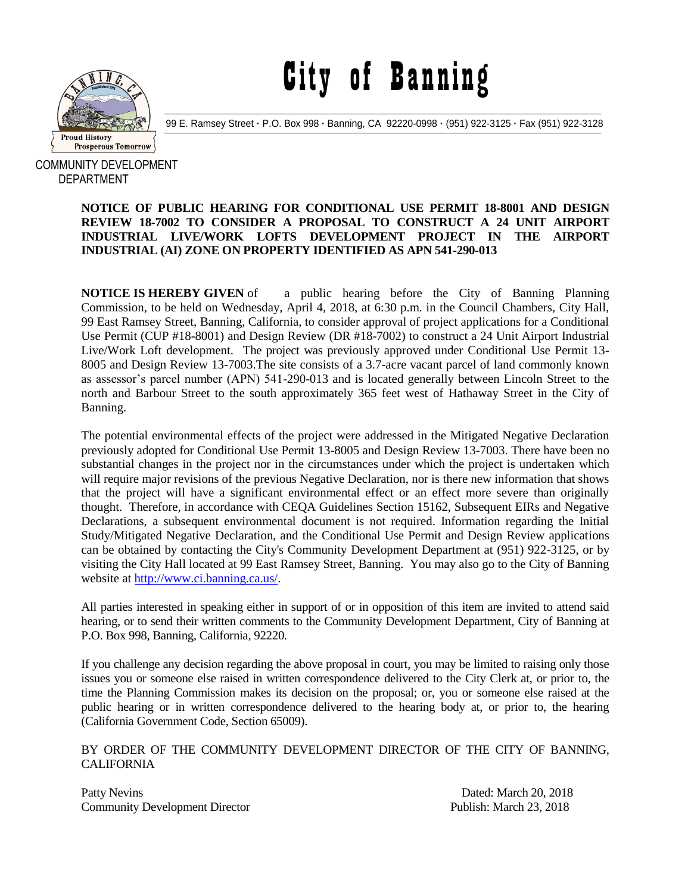

City of Banning

99 E. Ramsey Street **·** P.O. Box 998 **·** Banning, CA 92220-0998 **·** (951) 922-3125 **·** Fax (951) 922-3128

COMMUNITY DEVELOPMENT DEPARTMENT

## **NOTICE OF PUBLIC HEARING FOR CONDITIONAL USE PERMIT 18-8001 AND DESIGN REVIEW 18-7002 TO CONSIDER A PROPOSAL TO CONSTRUCT A 24 UNIT AIRPORT INDUSTRIAL LIVE/WORK LOFTS DEVELOPMENT PROJECT IN THE AIRPORT INDUSTRIAL (AI) ZONE ON PROPERTY IDENTIFIED AS APN 541-290-013**

**NOTICE IS HEREBY GIVEN** of a public hearing before the City of Banning Planning Commission, to be held on Wednesday, April 4, 2018, at 6:30 p.m. in the Council Chambers, City Hall, 99 East Ramsey Street, Banning, California, to consider approval of project applications for a Conditional Use Permit (CUP #18-8001) and Design Review (DR #18-7002) to construct a 24 Unit Airport Industrial Live/Work Loft development. The project was previously approved under Conditional Use Permit 13- 8005 and Design Review 13-7003.The site consists of a 3.7-acre vacant parcel of land commonly known as assessor's parcel number (APN) 541-290-013 and is located generally between Lincoln Street to the north and Barbour Street to the south approximately 365 feet west of Hathaway Street in the City of Banning.

The potential environmental effects of the project were addressed in the Mitigated Negative Declaration previously adopted for Conditional Use Permit 13-8005 and Design Review 13-7003. There have been no substantial changes in the project nor in the circumstances under which the project is undertaken which will require major revisions of the previous Negative Declaration, nor is there new information that shows that the project will have a significant environmental effect or an effect more severe than originally thought. Therefore, in accordance with CEQA Guidelines Section 15162, Subsequent EIRs and Negative Declarations, a subsequent environmental document is not required. Information regarding the Initial Study/Mitigated Negative Declaration, and the Conditional Use Permit and Design Review applications can be obtained by contacting the City's Community Development Department at (951) 922-3125, or by visiting the City Hall located at 99 East Ramsey Street, Banning. You may also go to the City of Banning website at [http://www.ci.banning.ca.us/.](http://www.ci.banning.ca.us/)

All parties interested in speaking either in support of or in opposition of this item are invited to attend said hearing, or to send their written comments to the Community Development Department, City of Banning at P.O. Box 998, Banning, California, 92220.

If you challenge any decision regarding the above proposal in court, you may be limited to raising only those issues you or someone else raised in written correspondence delivered to the City Clerk at, or prior to, the time the Planning Commission makes its decision on the proposal; or, you or someone else raised at the public hearing or in written correspondence delivered to the hearing body at, or prior to, the hearing (California Government Code, Section 65009).

## BY ORDER OF THE COMMUNITY DEVELOPMENT DIRECTOR OF THE CITY OF BANNING, CALIFORNIA

Patty Nevins Dated: March 20, 2018 Community Development Director Publish: March 23, 2018